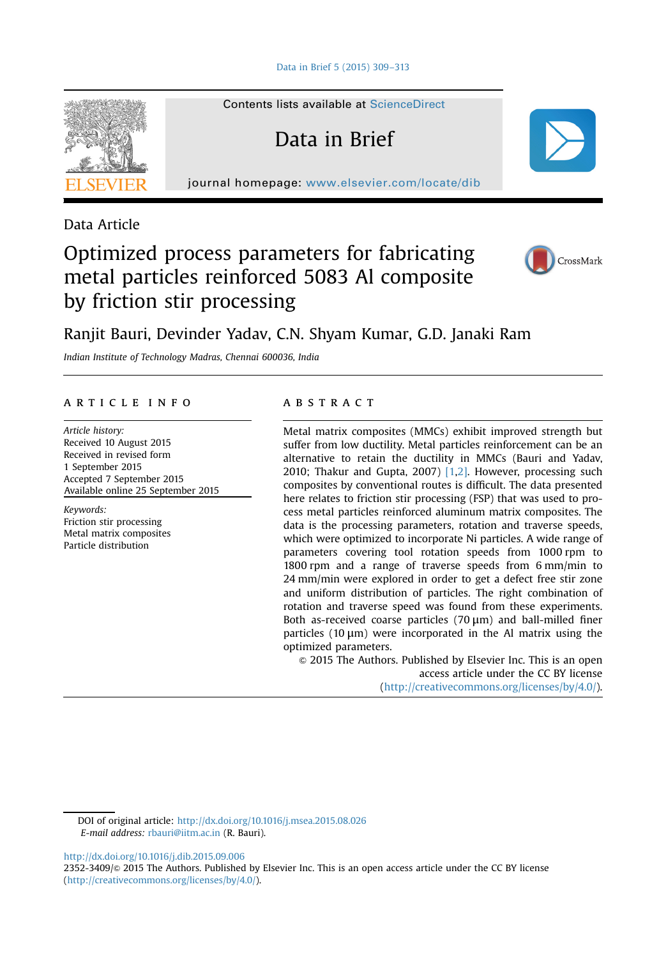[Data in Brief 5 \(2015\) 309](http://dx.doi.org/10.1016/j.dib.2015.09.006)–313

Contents lists available at [ScienceDirect](www.sciencedirect.com/science/journal/23523409)

Data in Brief

journal homepage: <www.elsevier.com/locate/dib>



Data Article

# Optimized process parameters for fabricating metal particles reinforced 5083 Al composite by friction stir processing



# Ranjit Bauri, Devinder Yadav, C.N. Shyam Kumar, G.D. Janaki Ram

Indian Institute of Technology Madras, Chennai 600036, India

# article info

Article history: Received 10 August 2015 Received in revised form 1 September 2015 Accepted 7 September 2015 Available online 25 September 2015

Keywords: Friction stir processing Metal matrix composites Particle distribution

## **ABSTRACT**

Metal matrix composites (MMCs) exhibit improved strength but suffer from low ductility. Metal particles reinforcement can be an alternative to retain the ductility in MMCs (Bauri and Yadav, 2010; Thakur and Gupta, 2007) [\[1](#page-3-0),[2\].](#page-3-0) However, processing such composites by conventional routes is difficult. The data presented here relates to friction stir processing (FSP) that was used to process metal particles reinforced aluminum matrix composites. The data is the processing parameters, rotation and traverse speeds, which were optimized to incorporate Ni particles. A wide range of parameters covering tool rotation speeds from 1000 rpm to 1800 rpm and a range of traverse speeds from 6 mm/min to 24 mm/min were explored in order to get a defect free stir zone and uniform distribution of particles. The right combination of rotation and traverse speed was found from these experiments. Both as-received coarse particles  $(70 \,\mu m)$  and ball-milled finer particles  $(10 \mu m)$  were incorporated in the Al matrix using the optimized parameters.

 $\odot$  2015 The Authors. Published by Elsevier Inc. This is an open access article under the CC BY license (http://creativecommons.org/licenses/by/4.0/).

DOI of original article: <http://dx.doi.org/10.1016/j.msea.2015.08.026> E-mail address: [rbauri@iitm.ac.in](mailto:rbauri@iitm.ac.in) (R. Bauri).

<http://dx.doi.org/10.1016/j.dib.2015.09.006>

2352-3409/ $\odot$  2015 The Authors. Published by Elsevier Inc. This is an open access article under the CC BY license (http://creativecommons.org/licenses/by/4.0/).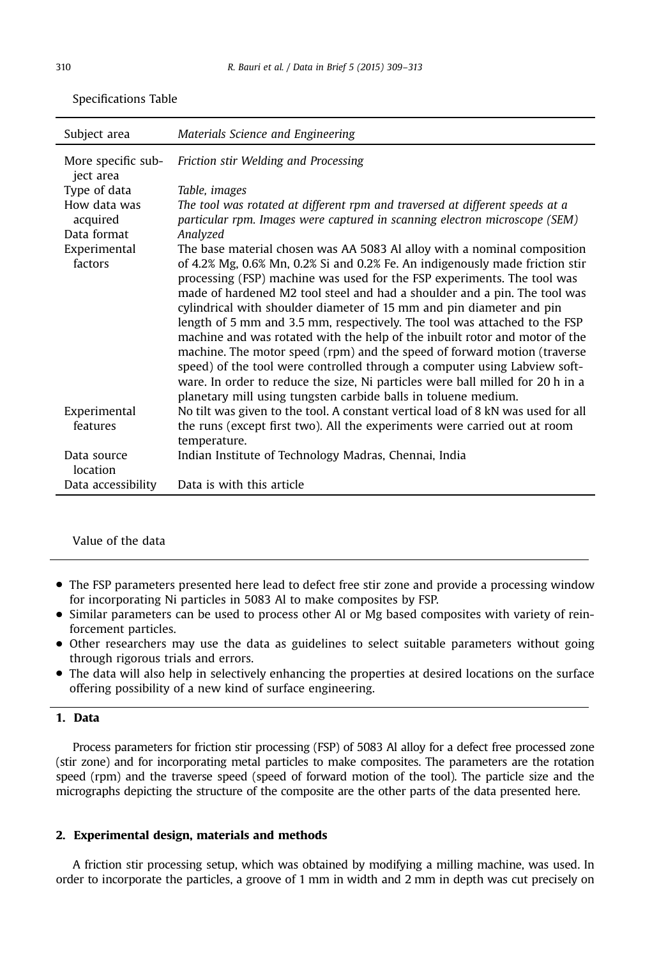| Subject area                    | Materials Science and Engineering                                                                                                                                                                                                                                                                                                                                                                                                                                                                                                                                                                                                                                                                                                                                                                                                                                 |
|---------------------------------|-------------------------------------------------------------------------------------------------------------------------------------------------------------------------------------------------------------------------------------------------------------------------------------------------------------------------------------------------------------------------------------------------------------------------------------------------------------------------------------------------------------------------------------------------------------------------------------------------------------------------------------------------------------------------------------------------------------------------------------------------------------------------------------------------------------------------------------------------------------------|
| More specific sub-<br>ject area | Friction stir Welding and Processing                                                                                                                                                                                                                                                                                                                                                                                                                                                                                                                                                                                                                                                                                                                                                                                                                              |
| Type of data                    | Table, images                                                                                                                                                                                                                                                                                                                                                                                                                                                                                                                                                                                                                                                                                                                                                                                                                                                     |
| How data was<br>acquired        | The tool was rotated at different rpm and traversed at different speeds at a<br>particular rpm. Images were captured in scanning electron microscope (SEM)                                                                                                                                                                                                                                                                                                                                                                                                                                                                                                                                                                                                                                                                                                        |
| Data format                     | Analyzed                                                                                                                                                                                                                                                                                                                                                                                                                                                                                                                                                                                                                                                                                                                                                                                                                                                          |
| Experimental<br>factors         | The base material chosen was AA 5083 Al alloy with a nominal composition<br>of 4.2% Mg, 0.6% Mn, 0.2% Si and 0.2% Fe. An indigenously made friction stir<br>processing (FSP) machine was used for the FSP experiments. The tool was<br>made of hardened M2 tool steel and had a shoulder and a pin. The tool was<br>cylindrical with shoulder diameter of 15 mm and pin diameter and pin<br>length of 5 mm and 3.5 mm, respectively. The tool was attached to the FSP<br>machine and was rotated with the help of the inbuilt rotor and motor of the<br>machine. The motor speed (rpm) and the speed of forward motion (traverse<br>speed) of the tool were controlled through a computer using Labview soft-<br>ware. In order to reduce the size, Ni particles were ball milled for 20 h in a<br>planetary mill using tungsten carbide balls in toluene medium. |
| Experimental<br>features        | No tilt was given to the tool. A constant vertical load of 8 kN was used for all<br>the runs (except first two). All the experiments were carried out at room<br>temperature.                                                                                                                                                                                                                                                                                                                                                                                                                                                                                                                                                                                                                                                                                     |
| Data source<br>location         | Indian Institute of Technology Madras, Chennai, India                                                                                                                                                                                                                                                                                                                                                                                                                                                                                                                                                                                                                                                                                                                                                                                                             |
| Data accessibility              | Data is with this article                                                                                                                                                                                                                                                                                                                                                                                                                                                                                                                                                                                                                                                                                                                                                                                                                                         |

Specifications Table

Value of the data

- The FSP parameters presented here lead to defect free stir zone and provide a processing window for incorporating Ni particles in 5083 Al to make composites by FSP.
- Similar parameters can be used to process other Al or Mg based composites with variety of reinforcement particles.
- Other researchers may use the data as guidelines to select suitable parameters without going through rigorous trials and errors.
- The data will also help in selectively enhancing the properties at desired locations on the surface offering possibility of a new kind of surface engineering.

# 1. Data

Process parameters for friction stir processing (FSP) of 5083 Al alloy for a defect free processed zone (stir zone) and for incorporating metal particles to make composites. The parameters are the rotation speed (rpm) and the traverse speed (speed of forward motion of the tool). The particle size and the micrographs depicting the structure of the composite are the other parts of the data presented here.

### 2. Experimental design, materials and methods

A friction stir processing setup, which was obtained by modifying a milling machine, was used. In order to incorporate the particles, a groove of 1 mm in width and 2 mm in depth was cut precisely on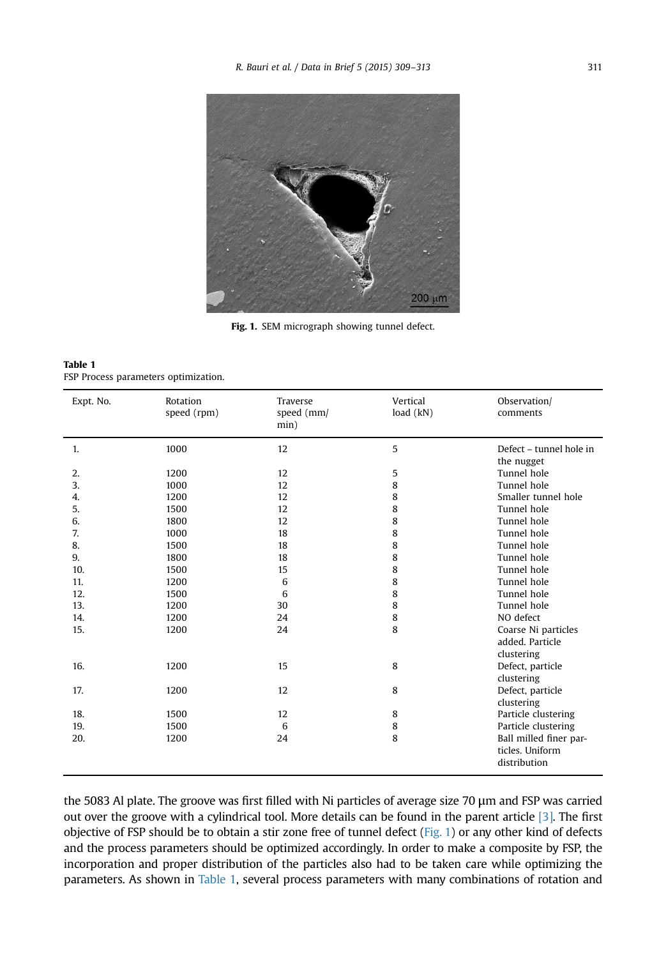<span id="page-2-0"></span>

Fig. 1. SEM micrograph showing tunnel defect.

Table 1 FSP Process parameters optimization.

| Expt. No. | Rotation<br>speed (rpm) | <b>Traverse</b><br>speed (mm/<br>min) | Vertical<br>load $(kN)$ | Observation/<br>comments              |
|-----------|-------------------------|---------------------------------------|-------------------------|---------------------------------------|
| 1.        | 1000                    | 12                                    | 5                       | Defect - tunnel hole in<br>the nugget |
| 2.        | 1200                    | 12                                    | 5                       | Tunnel hole                           |
| 3.        | 1000                    | 12                                    | 8                       | Tunnel hole                           |
| 4.        | 1200                    | 12                                    | 8                       | Smaller tunnel hole                   |
| 5.        | 1500                    | 12                                    | 8                       | Tunnel hole                           |
| 6.        | 1800                    | 12                                    | 8                       | Tunnel hole                           |
| 7.        |                         |                                       |                         | Tunnel hole                           |
|           | 1000                    | 18                                    | 8                       |                                       |
| 8.        | 1500                    | 18                                    | 8                       | Tunnel hole                           |
| 9.        | 1800                    | 18                                    | 8                       | Tunnel hole                           |
| 10.       | 1500                    | 15                                    | 8                       | Tunnel hole                           |
| 11.       | 1200                    | 6                                     | 8                       | Tunnel hole                           |
| 12.       | 1500                    | 6                                     | 8                       | Tunnel hole                           |
| 13.       | 1200                    | 30                                    | 8                       | Tunnel hole                           |
| 14.       | 1200                    | 24                                    | 8                       | NO defect                             |
| 15.       | 1200                    | 24                                    | 8                       | Coarse Ni particles                   |
|           |                         |                                       |                         | added. Particle                       |
|           |                         |                                       |                         | clustering                            |
| 16.       | 1200                    | 15                                    | 8                       | Defect, particle                      |
|           |                         |                                       |                         | clustering                            |
| 17.       | 1200                    | 12                                    | 8                       | Defect, particle                      |
|           |                         |                                       |                         | clustering                            |
| 18.       | 1500                    | 12                                    | 8                       | Particle clustering                   |
| 19.       | 1500                    | 6                                     | 8                       | Particle clustering                   |
| 20.       | 1200                    | 24                                    | 8                       | Ball milled finer par-                |
|           |                         |                                       |                         | ticles. Uniform                       |
|           |                         |                                       |                         | distribution                          |
|           |                         |                                       |                         |                                       |

the 5083 Al plate. The groove was first filled with Ni particles of average size 70 μm and FSP was carried out over the groove with a cylindrical tool. More details can be found in the parent article [\[3\].](#page-4-0) The first objective of FSP should be to obtain a stir zone free of tunnel defect (Fig. 1) or any other kind of defects and the process parameters should be optimized accordingly. In order to make a composite by FSP, the incorporation and proper distribution of the particles also had to be taken care while optimizing the parameters. As shown in Table 1, several process parameters with many combinations of rotation and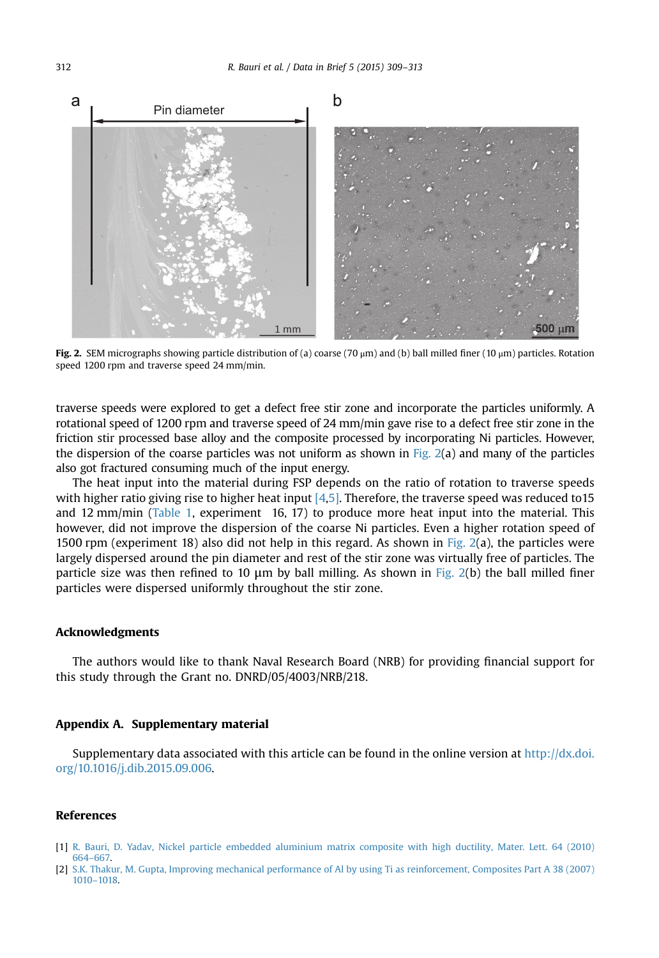<span id="page-3-0"></span>

Fig. 2. SEM micrographs showing particle distribution of (a) coarse (70  $\mu$ m) and (b) ball milled finer (10  $\mu$ m) particles. Rotation speed 1200 rpm and traverse speed 24 mm/min.

traverse speeds were explored to get a defect free stir zone and incorporate the particles uniformly. A rotational speed of 1200 rpm and traverse speed of 24 mm/min gave rise to a defect free stir zone in the friction stir processed base alloy and the composite processed by incorporating Ni particles. However, the dispersion of the coarse particles was not uniform as shown in Fig.  $2(a)$  and many of the particles also got fractured consuming much of the input energy.

The heat input into the material during FSP depends on the ratio of rotation to traverse speeds with higher ratio giving rise to higher heat input  $[4,5]$ . Therefore, the traverse speed was reduced to15 and 12 mm/min [\(Table 1,](#page-2-0) experiment 16, 17) to produce more heat input into the material. This however, did not improve the dispersion of the coarse Ni particles. Even a higher rotation speed of 1500 rpm (experiment 18) also did not help in this regard. As shown in Fig.  $2(a)$ , the particles were largely dispersed around the pin diameter and rest of the stir zone was virtually free of particles. The particle size was then refined to 10 μm by ball milling. As shown in Fig. 2(b) the ball milled finer particles were dispersed uniformly throughout the stir zone.

#### Acknowledgments

The authors would like to thank Naval Research Board (NRB) for providing financial support for this study through the Grant no. DNRD/05/4003/NRB/218.

#### Appendix A. Supplementary material

Supplementary data associated with this article can be found in the online version at [http://dx.doi.](http://dx.doi.org/10.1016/j.dib.2015.09.006) [org/10.1016/j.dib.2015.09.006](http://dx.doi.org/10.1016/j.dib.2015.09.006).

### References

- [1] [R. Bauri, D. Yadav, Nickel particle embedded aluminium matrix composite with high ductility, Mater. Lett. 64 \(2010\)](http://refhub.elsevier.com/S2352-3409(15)00200-0/sbref1) [664](http://refhub.elsevier.com/S2352-3409(15)00200-0/sbref1)–[667.](http://refhub.elsevier.com/S2352-3409(15)00200-0/sbref1)
- [2] [S.K. Thakur, M. Gupta, Improving mechanical performance of Al by using Ti as reinforcement, Composites Part A 38 \(2007\)](http://refhub.elsevier.com/S2352-3409(15)00200-0/sbref2) [1010](http://refhub.elsevier.com/S2352-3409(15)00200-0/sbref2)–[1018.](http://refhub.elsevier.com/S2352-3409(15)00200-0/sbref2)